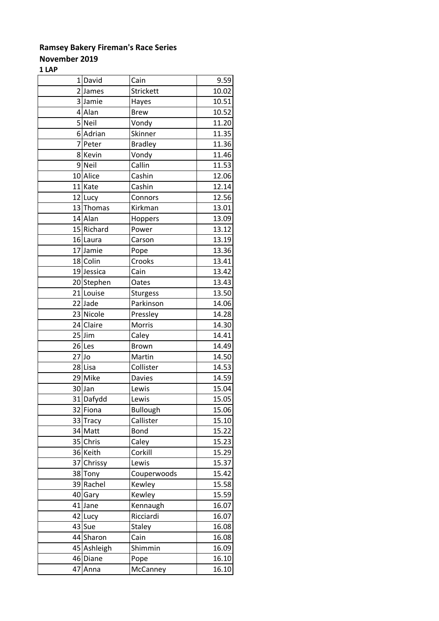## **November 2019**

**1 LAP**

|         | 1 David     | Cain            | 9.59  |
|---------|-------------|-----------------|-------|
|         | 2James      | Strickett       | 10.02 |
|         | 3 Jamie     | Hayes           | 10.51 |
|         | 4 Alan      | <b>Brew</b>     | 10.52 |
|         | 5 Neil      | Vondy           | 11.20 |
|         | 6 Adrian    | Skinner         | 11.35 |
|         | 7Peter      | <b>Bradley</b>  | 11.36 |
|         | 8Kevin      | Vondy           | 11.46 |
|         | 9Neil       | Callin          | 11.53 |
|         | 10 Alice    | Cashin          | 12.06 |
|         | 11 Kate     | Cashin          | 12.14 |
|         | 12 Lucy     | Connors         | 12.56 |
|         | 13 Thomas   | Kirkman         | 13.01 |
|         | 14 Alan     | Hoppers         | 13.09 |
|         | 15 Richard  | Power           | 13.12 |
|         | 16 Laura    | Carson          | 13.19 |
|         | 17 Jamie    | Pope            | 13.36 |
|         | 18 Colin    | Crooks          | 13.41 |
|         | 19 Jessica  | Cain            | 13.42 |
|         | 20 Stephen  | Oates           | 13.43 |
|         | 21 Louise   | <b>Sturgess</b> | 13.50 |
|         | 22 Jade     | Parkinson       | 14.06 |
|         | 23 Nicole   | Pressley        | 14.28 |
|         | 24 Claire   | Morris          | 14.30 |
|         | $25$ Jim    | Caley           | 14.41 |
|         | $26$ Les    | <b>Brown</b>    | 14.49 |
| $27$ Jo |             | Martin          | 14.50 |
|         | 28 Lisa     | Collister       | 14.53 |
|         | 29 Mike     | <b>Davies</b>   | 14.59 |
|         | 30Jan       | Lewis           | 15.04 |
|         | 31 Dafydd   | Lewis           | 15.05 |
|         | 32 Fiona    | <b>Bullough</b> | 15.06 |
|         | 33 Tracy    | Callister       | 15.10 |
|         | 34 Matt     | <b>Bond</b>     | 15.22 |
|         | 35 Chris    | Caley           | 15.23 |
|         | 36 Keith    | Corkill         | 15.29 |
| 37      | Chrissy     | Lewis           | 15.37 |
|         | 38 Tony     | Couperwoods     | 15.42 |
|         | 39 Rachel   | Kewley          | 15.58 |
|         | 40 Gary     | Kewley          | 15.59 |
|         | 41 Jane     | Kennaugh        | 16.07 |
|         | 42 Lucy     | Ricciardi       | 16.07 |
|         | 43 Sue      | <b>Staley</b>   | 16.08 |
|         | 44 Sharon   | Cain            | 16.08 |
|         | 45 Ashleigh | Shimmin         | 16.09 |
|         | 46 Diane    | Pope            | 16.10 |
| 47      | Anna        | McCanney        | 16.10 |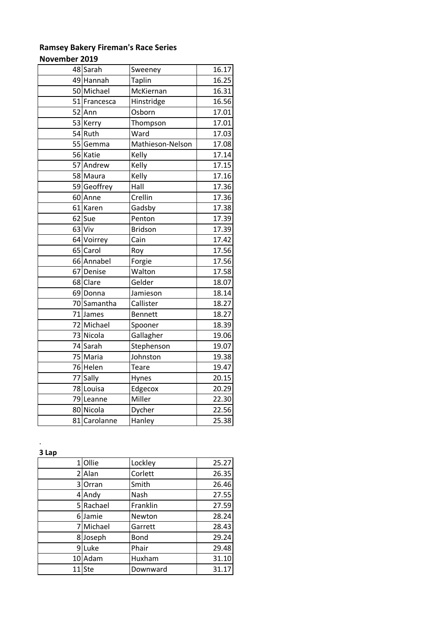#### **November 2019**

|    | 48 Sarah     | Sweeney          | 16.17 |
|----|--------------|------------------|-------|
|    | 49 Hannah    | <b>Taplin</b>    | 16.25 |
|    | 50 Michael   | McKiernan        | 16.31 |
|    | 51 Francesca | Hinstridge       | 16.56 |
| 52 | Ann          | Osborn           | 17.01 |
|    | 53 Kerry     | Thompson         | 17.01 |
|    | 54 Ruth      | Ward             | 17.03 |
|    | 55 Gemma     | Mathieson-Nelson | 17.08 |
|    | 56 Katie     | Kelly            | 17.14 |
| 57 | Andrew       | Kelly            | 17.15 |
|    | 58 Maura     | Kelly            | 17.16 |
|    | 59 Geoffrey  | Hall             | 17.36 |
|    | 60 Anne      | Crellin          | 17.36 |
|    | 61 Karen     | Gadsby           | 17.38 |
| 62 | Sue          | Penton           | 17.39 |
|    | 63 Viv       | <b>Bridson</b>   | 17.39 |
|    | 64 Voirrey   | Cain             | 17.42 |
|    | 65 Carol     | Roy              | 17.56 |
|    | 66 Annabel   | Forgie           | 17.56 |
| 67 | Denise       | Walton           | 17.58 |
|    | 68 Clare     | Gelder           | 18.07 |
|    | 69 Donna     | Jamieson         | 18.14 |
|    | 70 Samantha  | Callister        | 18.27 |
|    | 71 James     | <b>Bennett</b>   | 18.27 |
|    | 72 Michael   | Spooner          | 18.39 |
|    | 73 Nicola    | Gallagher        | 19.06 |
|    | 74 Sarah     | Stephenson       | 19.07 |
|    | 75 Maria     | Johnston         | 19.38 |
|    | 76 Helen     | Teare            | 19.47 |
| 77 | Sally        | Hynes            | 20.15 |
|    | 78 Louisa    | Edgecox          | 20.29 |
|    | 79 Leanne    | Miller           | 22.30 |
|    | 80 Nicola    | Dycher           | 22.56 |
|    |              |                  |       |

**3 Lap**

.

|    | Ollie     | Lockley     | 25.27 |
|----|-----------|-------------|-------|
|    | 2 Alan    | Corlett     | 26.35 |
| 31 | Orran     | Smith       | 26.46 |
|    | 4 Andy    | Nash        | 27.55 |
|    | 5 Rachael | Franklin    | 27.59 |
| 61 | Jamie     | Newton      | 28.24 |
|    | 7 Michael | Garrett     | 28.43 |
|    | 8Joseph   | <b>Bond</b> | 29.24 |
| ٩l | Luke      | Phair       | 29.48 |
|    | 10 Adam   | Huxham      | 31.10 |
|    | 11 Ste    | Downward    | 31.17 |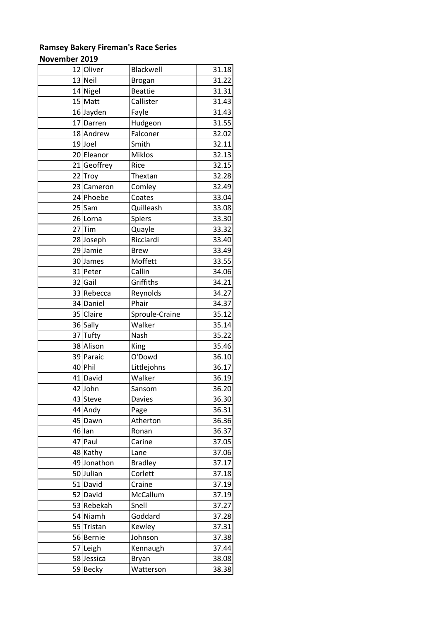### **November 2019**

| 12 Oliver   | <b>Blackwell</b> | 31.18 |
|-------------|------------------|-------|
| 13 Neil     | <b>Brogan</b>    | 31.22 |
| 14 Nigel    | <b>Beattie</b>   | 31.31 |
| 15 Matt     | Callister        | 31.43 |
| 16 Jayden   | Fayle            | 31.43 |
| 17 Darren   | Hudgeon          | 31.55 |
| 18 Andrew   | Falconer         | 32.02 |
| 19Joel      | Smith            | 32.11 |
| 20 Eleanor  | <b>Miklos</b>    | 32.13 |
| 21 Geoffrey | Rice             | 32.15 |
| 22 Troy     | Thextan          | 32.28 |
| 23 Cameron  | Comley           | 32.49 |
| 24 Phoebe   | Coates           | 33.04 |
| $25$ Sam    | Quilleash        | 33.08 |
| 26 Lorna    | Spiers           | 33.30 |
| $27$ Tim    | Quayle           | 33.32 |
| 28 Joseph   | Ricciardi        | 33.40 |
| 29 Jamie    | <b>Brew</b>      | 33.49 |
| 30 James    | Moffett          | 33.55 |
| 31 Peter    | Callin           | 34.06 |
| 32 Gail     | Griffiths        | 34.21 |
| 33 Rebecca  | Reynolds         | 34.27 |
| 34 Daniel   | Phair            | 34.37 |
| 35 Claire   | Sproule-Craine   | 35.12 |
| 36 Sally    | Walker           | 35.14 |
| 37 Tufty    | Nash             | 35.22 |
| 38 Alison   | King             | 35.46 |
| 39 Paraic   | O'Dowd           | 36.10 |
| 40 Phil     | Littlejohns      | 36.17 |
| 41 David    | Walker           | 36.19 |
| 42 John     | Sansom           | 36.20 |
| 43 Steve    | <b>Davies</b>    | 36.30 |
| 44 Andy     | Page             | 36.31 |
| 45 Dawn     | Atherton         | 36.36 |
| 46 lan      | Ronan            | 36.37 |
| 47 Paul     | Carine           | 37.05 |
| 48 Kathy    | Lane             | 37.06 |
| 49 Jonathon | <b>Bradley</b>   | 37.17 |
| 50Julian    | Corlett          | 37.18 |
| 51 David    | Craine           | 37.19 |
| 52 David    | McCallum         | 37.19 |
| 53 Rebekah  | Snell            | 37.27 |
| 54 Niamh    | Goddard          | 37.28 |
| 55 Tristan  | Kewley           | 37.31 |
| 56 Bernie   | Johnson          | 37.38 |
| 57 Leigh    | Kennaugh         | 37.44 |
| 58 Jessica  | <b>Bryan</b>     | 38.08 |
| 59 Becky    | Watterson        | 38.38 |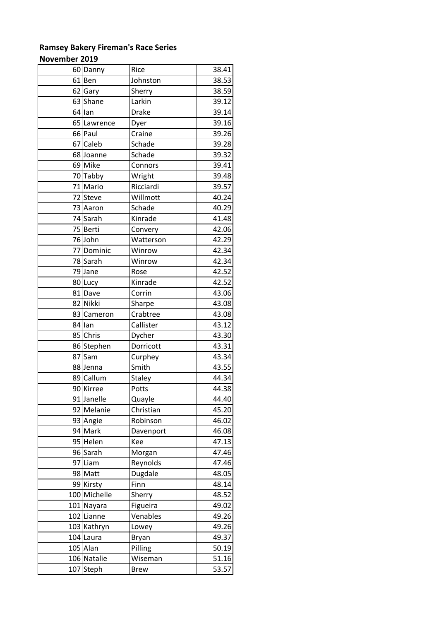### **Ramsey Bakery Fireman's Race Series November 2019**

|    | 60 Danny     | Rice          | 38.41 |
|----|--------------|---------------|-------|
|    | 61 Ben       | Johnston      | 38.53 |
|    | 62 Gary      | Sherry        | 38.59 |
|    | 63 Shane     | Larkin        | 39.12 |
|    | 64llan       | Drake         | 39.14 |
|    | 65 Lawrence  | Dyer          | 39.16 |
|    | 66 Paul      | Craine        | 39.26 |
|    | 67 Caleb     | Schade        | 39.28 |
|    | 68 Joanne    | Schade        | 39.32 |
|    | 69 Mike      | Connors       | 39.41 |
|    | 70 Tabby     | Wright        | 39.48 |
|    | 71 Mario     | Ricciardi     | 39.57 |
|    | 72 Steve     | Willmott      | 40.24 |
|    | 73 Aaron     | Schade        | 40.29 |
|    | 74 Sarah     | Kinrade       | 41.48 |
|    | 75 Berti     | Convery       | 42.06 |
|    | 76 John      | Watterson     | 42.29 |
|    | 77 Dominic   | Winrow        | 42.34 |
|    | 78 Sarah     | Winrow        | 42.34 |
|    | 79 Jane      | Rose          | 42.52 |
|    | 80 Lucy      | Kinrade       | 42.52 |
|    | 81 Dave      | Corrin        | 43.06 |
|    | 82 Nikki     | Sharpe        | 43.08 |
|    | 83 Cameron   | Crabtree      | 43.08 |
|    | 84 lan       | Callister     | 43.12 |
|    | 85 Chris     | Dycher        | 43.30 |
|    | 86 Stephen   | Dorricott     | 43.31 |
| 87 | Sam          | Curphey       | 43.34 |
|    | 88 Jenna     | Smith         | 43.55 |
|    | 89 Callum    | <b>Staley</b> | 44.34 |
|    | 90 Kirree    | Potts         | 44.38 |
|    | 91 Janelle   | Quayle        | 44.40 |
|    | 92 Melanie   | Christian     | 45.20 |
|    | 93 Angie     | Robinson      | 46.02 |
|    | 94 Mark      | Davenport     | 46.08 |
|    | 95 Helen     | Kee           | 47.13 |
|    | 96 Sarah     | Morgan        | 47.46 |
|    | 97 Liam      | Reynolds      | 47.46 |
|    | 98 Matt      | Dugdale       | 48.05 |
|    | 99 Kirsty    | Finn          | 48.14 |
|    | 100 Michelle | Sherry        | 48.52 |
|    | 101 Nayara   | Figueira      | 49.02 |
|    | 102 Lianne   | Venables      | 49.26 |
|    | 103 Kathryn  | Lowey         | 49.26 |
|    | 104 Laura    | Bryan         | 49.37 |
|    | 105 Alan     | Pilling       | 50.19 |
|    | 106 Natalie  | Wiseman       | 51.16 |
|    | 107 Steph    | <b>Brew</b>   | 53.57 |